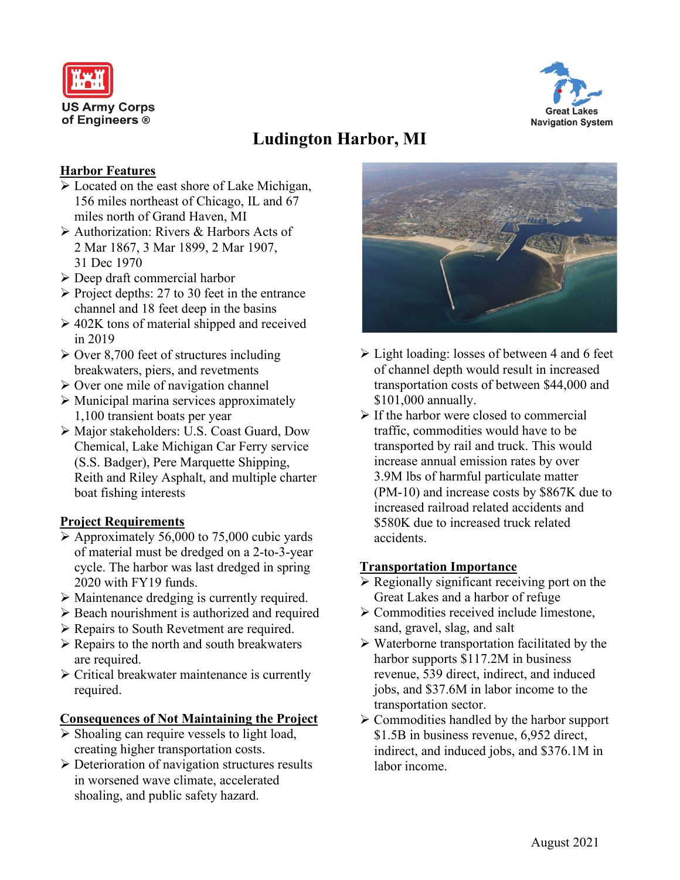



# **Ludington Harbor, MI**

#### **Harbor Features**

- Located on the east shore of Lake Michigan, 156 miles northeast of Chicago, IL and 67 miles north of Grand Haven, MI
- Authorization: Rivers & Harbors Acts of 2 Mar 1867, 3 Mar 1899, 2 Mar 1907, 31 Dec 1970
- Deep draft commercial harbor
- $\triangleright$  Project depths: 27 to 30 feet in the entrance channel and 18 feet deep in the basins
- $\geq 402K$  tons of material shipped and received in 2019
- $\geq$  Over 8,700 feet of structures including breakwaters, piers, and revetments
- $\triangleright$  Over one mile of navigation channel
- Municipal marina services approximately 1,100 transient boats per year
- Major stakeholders: U.S. Coast Guard, Dow Chemical, Lake Michigan Car Ferry service (S.S. Badger), Pere Marquette Shipping, Reith and Riley Asphalt, and multiple charter boat fishing interests

### **Project Requirements**

- $\triangleright$  Approximately 56,000 to 75,000 cubic yards of material must be dredged on a 2-to-3-year cycle. The harbor was last dredged in spring 2020 with FY19 funds.
- Maintenance dredging is currently required.
- $\triangleright$  Beach nourishment is authorized and required
- Repairs to South Revetment are required.
- $\triangleright$  Repairs to the north and south breakwaters are required.
- $\triangleright$  Critical breakwater maintenance is currently required.

#### **Consequences of Not Maintaining the Project**

- $\triangleright$  Shoaling can require vessels to light load, creating higher transportation costs.
- Deterioration of navigation structures results in worsened wave climate, accelerated shoaling, and public safety hazard.



- Light loading: losses of between 4 and 6 feet of channel depth would result in increased transportation costs of between \$44,000 and \$101,000 annually.
- $\triangleright$  If the harbor were closed to commercial traffic, commodities would have to be transported by rail and truck. This would increase annual emission rates by over 3.9M lbs of harmful particulate matter (PM-10) and increase costs by \$867K due to increased railroad related accidents and \$580K due to increased truck related accidents.

#### **Transportation Importance**

- $\triangleright$  Regionally significant receiving port on the Great Lakes and a harbor of refuge
- Commodities received include limestone, sand, gravel, slag, and salt
- $\triangleright$  Waterborne transportation facilitated by the harbor supports \$117.2M in business revenue, 539 direct, indirect, and induced jobs, and \$37.6M in labor income to the transportation sector.
- $\triangleright$  Commodities handled by the harbor support \$1.5B in business revenue, 6,952 direct, indirect, and induced jobs, and \$376.1M in labor income.